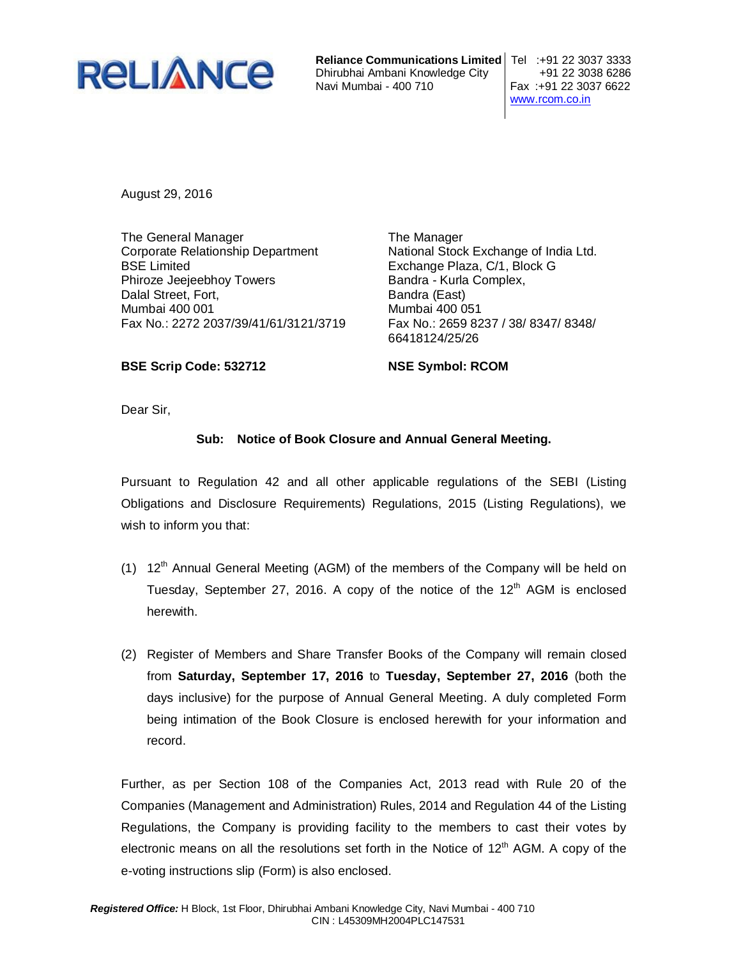

**Reliance Communications Limited** Tel :+91 22 3037 3333 Dhirubhai Ambani Knowledge City | +91 22 3038 6286 Navi Mumbai - 400 710 Fax :+91 22 3037 6622

www.rcom.co.in

August 29, 2016

The General Manager Corporate Relationship Department BSE Limited Phiroze Jeejeebhoy Towers Dalal Street, Fort, Mumbai 400 001 Fax No.: 2272 2037/39/41/61/3121/3719

The Manager National Stock Exchange of India Ltd. Exchange Plaza, C/1, Block G Bandra - Kurla Complex, Bandra (East) Mumbai 400 051 Fax No.: 2659 8237 / 38/ 8347/ 8348/ 66418124/25/26

**BSE Scrip Code: 532712**

**NSE Symbol: RCOM**

Dear Sir,

# **Sub: Notice of Book Closure and Annual General Meeting.**

Pursuant to Regulation 42 and all other applicable regulations of the SEBI (Listing Obligations and Disclosure Requirements) Regulations, 2015 (Listing Regulations), we wish to inform you that:

- (1)  $12<sup>th</sup>$  Annual General Meeting (AGM) of the members of the Company will be held on Tuesday, September 27, 2016. A copy of the notice of the  $12<sup>th</sup>$  AGM is enclosed herewith.
- (2) Register of Members and Share Transfer Books of the Company will remain closed from **Saturday, September 17, 2016** to **Tuesday, September 27, 2016** (both the days inclusive) for the purpose of Annual General Meeting. A duly completed Form being intimation of the Book Closure is enclosed herewith for your information and record.

Further, as per Section 108 of the Companies Act, 2013 read with Rule 20 of the Companies (Management and Administration) Rules, 2014 and Regulation 44 of the Listing Regulations, the Company is providing facility to the members to cast their votes by electronic means on all the resolutions set forth in the Notice of  $12<sup>th</sup>$  AGM. A copy of the e-voting instructions slip (Form) is also enclosed.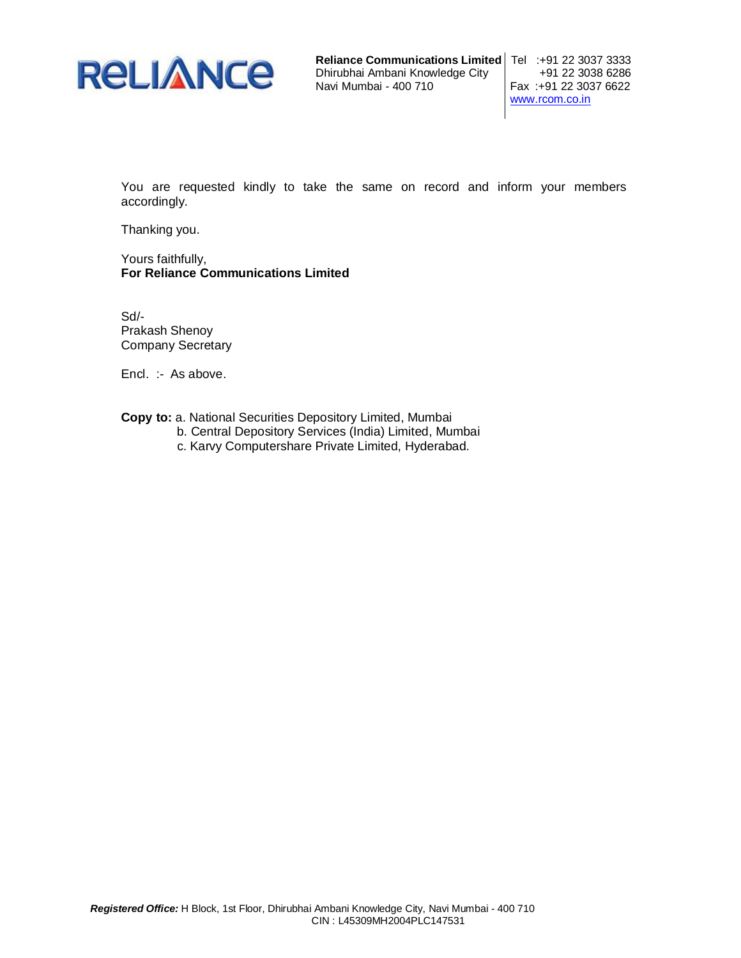

**Reliance Communications Limited** Tel :+91 22 3037 3333 Dhirubhai Ambani Knowledge City +91 22 3038 6286 Navi Mumbai - 400 710

www.rcom.co.in

You are requested kindly to take the same on record and inform your members accordingly.

Thanking you.

Yours faithfully, **For Reliance Communications Limited**

Sd/- Prakash Shenoy Company Secretary

Encl. :- As above.

**Copy to:** a. National Securities Depository Limited, Mumbai

- b. Central Depository Services (India) Limited, Mumbai
	- c. Karvy Computershare Private Limited, Hyderabad.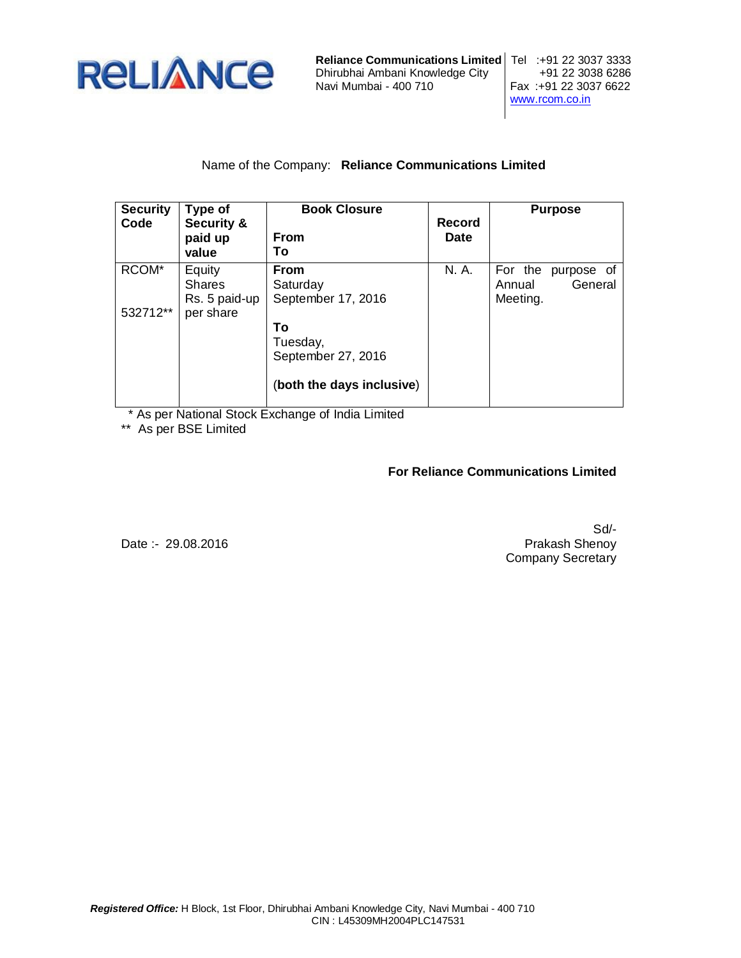

**Reliance Communications Limited** Tel :+91 22 3037 3333<br>Dhirubhai Ambani Knowledge City +91 22 3038 6286 Dhirubhai Ambani Knowledge City<br>Navi Mumbai - 400 710

Fax: +91 22 3037 6622 www.rcom.co.in

# Name of the Company: **Reliance Communications Limited**

| <b>Security</b><br>Code | Type of<br><b>Security &amp;</b><br>paid up<br>value | <b>Book Closure</b><br>From<br>То                                 | Record<br><b>Date</b> | <b>Purpose</b>                                         |
|-------------------------|------------------------------------------------------|-------------------------------------------------------------------|-----------------------|--------------------------------------------------------|
| RCOM <sup>*</sup>       | Equity<br><b>Shares</b><br>Rs. 5 paid-up             | <b>From</b><br>Saturday<br>September 17, 2016                     | N. A.                 | For the<br>purpose of<br>General<br>Annual<br>Meeting. |
| 532712**                | per share                                            | То<br>Tuesday,<br>September 27, 2016<br>(both the days inclusive) |                       |                                                        |

\* As per National Stock Exchange of India Limited

\*\* As per BSE Limited

# **For Reliance Communications Limited**

Date :- 29.08.2016

Sd/- Prakash Shenoy Company Secretary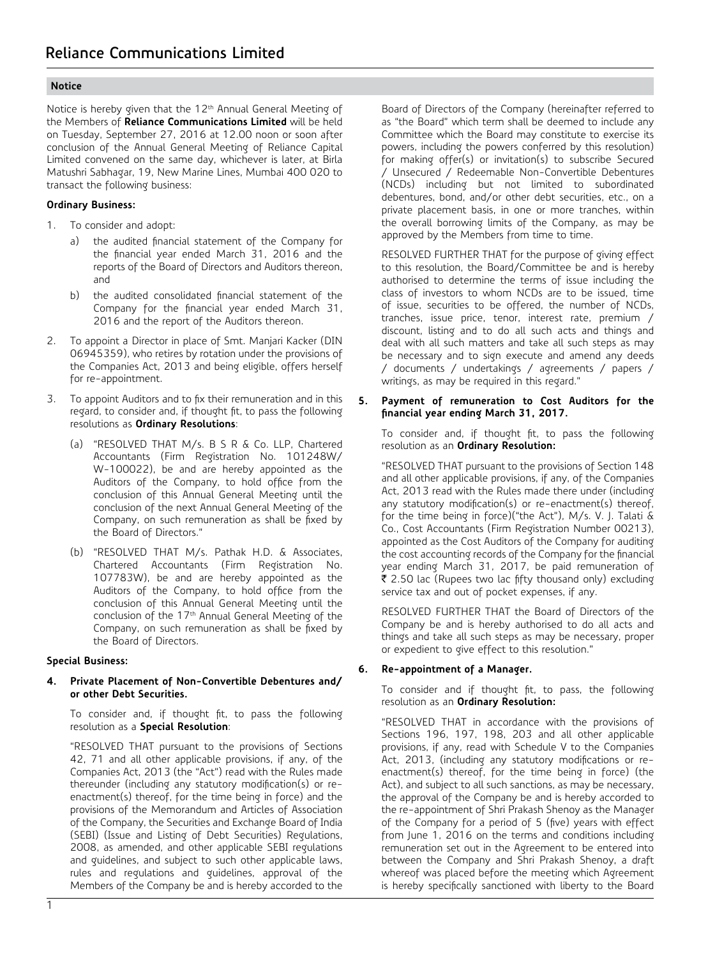# **Notice**

Notice is hereby given that the 12<sup>th</sup> Annual General Meeting of the Members of **Reliance Communications Limited** will be held on Tuesday, September 27, 2016 at 12.00 noon or soon after conclusion of the Annual General Meeting of Reliance Capital Limited convened on the same day, whichever is later, at Birla Matushri Sabhagar, 19, New Marine Lines, Mumbai 400 020 to transact the following business:

#### **Ordinary Business:**

- 1. To consider and adopt:
	- a) the audited financial statement of the Company for the financial year ended March 31, 2016 and the reports of the Board of Directors and Auditors thereon, and
	- b) the audited consolidated financial statement of the Company for the financial year ended March 31, 2016 and the report of the Auditors thereon.
- 2. To appoint a Director in place of Smt. Manjari Kacker (DIN 06945359), who retires by rotation under the provisions of the Companies Act, 2013 and being eligible, offers herself for re-appointment.
- 3. To appoint Auditors and to fix their remuneration and in this regard, to consider and, if thought fit, to pass the following resolutions as **Ordinary Resolutions**:
	- (a) "RESOLVED THAT M/s. B S R & Co. LLP, Chartered Accountants (Firm Registration No. 101248W/ W-100022), be and are hereby appointed as the Auditors of the Company, to hold office from the conclusion of this Annual General Meeting until the conclusion of the next Annual General Meeting of the Company, on such remuneration as shall be fixed by the Board of Directors."
	- (b) "RESOLVED THAT M/s. Pathak H.D. & Associates, Chartered Accountants (Firm Registration No. 107783W), be and are hereby appointed as the Auditors of the Company, to hold office from the conclusion of this Annual General Meeting until the conclusion of the 17<sup>th</sup> Annual General Meeting of the Company, on such remuneration as shall be fixed by the Board of Directors.

#### **Special Business:**

#### **4. Private Placement of Non-Convertible Debentures and/ or other Debt Securities.**

 To consider and, if thought fit, to pass the following resolution as a **Special Resolution**:

 "RESOLVED THAT pursuant to the provisions of Sections 42, 71 and all other applicable provisions, if any, of the Companies Act, 2013 (the "Act") read with the Rules made thereunder (including any statutory modification(s) or reenactment(s) thereof, for the time being in force) and the provisions of the Memorandum and Articles of Association of the Company, the Securities and Exchange Board of India (SEBI) (Issue and Listing of Debt Securities) Regulations, 2008, as amended, and other applicable SEBI regulations and guidelines, and subject to such other applicable laws, rules and regulations and guidelines, approval of the Members of the Company be and is hereby accorded to the

Board of Directors of the Company (hereinafter referred to as "the Board" which term shall be deemed to include any Committee which the Board may constitute to exercise its powers, including the powers conferred by this resolution) for making offer(s) or invitation(s) to subscribe Secured / Unsecured / Redeemable Non-Convertible Debentures (NCDs) including but not limited to subordinated debentures, bond, and/or other debt securities, etc., on a private placement basis, in one or more tranches, within the overall borrowing limits of the Company, as may be approved by the Members from time to time.

 RESOLVED FURTHER THAT for the purpose of giving effect to this resolution, the Board/Committee be and is hereby authorised to determine the terms of issue including the class of investors to whom NCDs are to be issued, time of issue, securities to be offered, the number of NCDs, tranches, issue price, tenor, interest rate, premium / discount, listing and to do all such acts and things and deal with all such matters and take all such steps as may be necessary and to sign execute and amend any deeds / documents / undertakings / agreements / papers / writings, as may be required in this regard."

**5. Payment of remuneration to Cost Auditors for the financial year ending March 31, 2017.**

 To consider and, if thought fit, to pass the following resolution as an **Ordinary Resolution:**

 "RESOLVED THAT pursuant to the provisions of Section 148 and all other applicable provisions, if any, of the Companies Act, 2013 read with the Rules made there under (including any statutory modification(s) or re-enactment(s) thereof, for the time being in force)("the Act"), M/s. V. J. Talati & Co., Cost Accountants (Firm Registration Number 00213), appointed as the Cost Auditors of the Company for auditing the cost accounting records of the Company for the financial year ending March 31, 2017, be paid remuneration of ₹ 2.50 lac (Rupees two lac fifty thousand only) excluding service tax and out of pocket expenses, if any.

 RESOLVED FURTHER THAT the Board of Directors of the Company be and is hereby authorised to do all acts and things and take all such steps as may be necessary, proper or expedient to give effect to this resolution."

# **6. Re-appointment of a Manager.**

 To consider and if thought fit, to pass, the following resolution as an **Ordinary Resolution:**

 "RESOLVED THAT in accordance with the provisions of Sections 196, 197, 198, 203 and all other applicable provisions, if any, read with Schedule V to the Companies Act, 2013, (including any statutory modifications or reenactment(s) thereof, for the time being in force) (the Act), and subject to all such sanctions, as may be necessary, the approval of the Company be and is hereby accorded to the re-appointment of Shri Prakash Shenoy as the Manager of the Company for a period of 5 (five) years with effect from June 1, 2016 on the terms and conditions including remuneration set out in the Agreement to be entered into between the Company and Shri Prakash Shenoy, a draft whereof was placed before the meeting which Agreement is hereby specifically sanctioned with liberty to the Board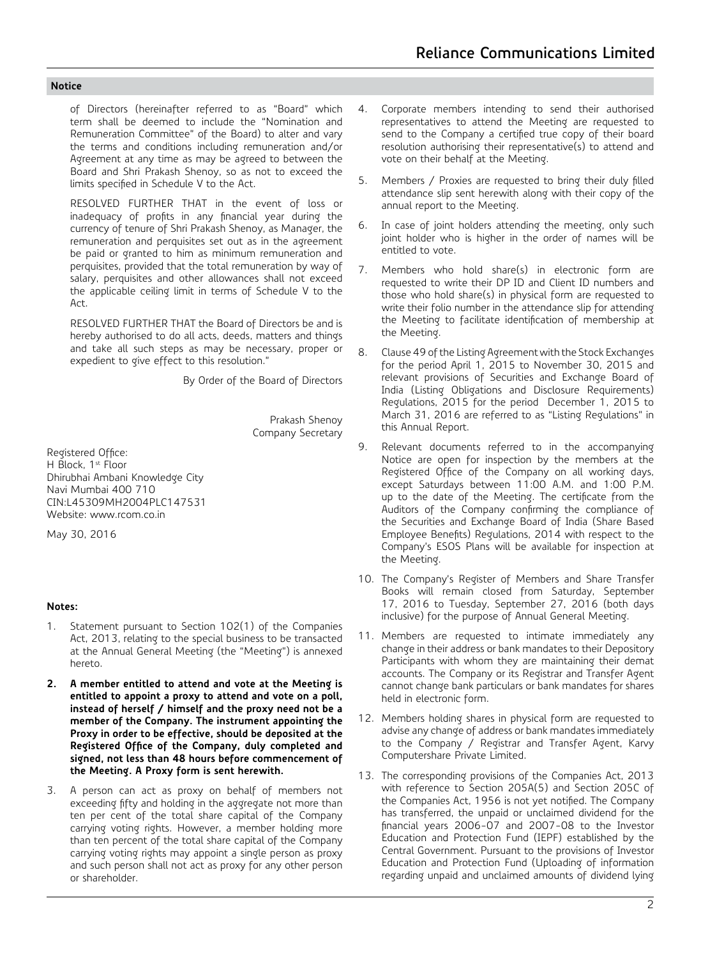#### **Notice**

of Directors (hereinafter referred to as "Board" which term shall be deemed to include the "Nomination and Remuneration Committee" of the Board) to alter and vary the terms and conditions including remuneration and/or Agreement at any time as may be agreed to between the Board and Shri Prakash Shenoy, so as not to exceed the limits specified in Schedule V to the Act.

 RESOLVED FURTHER THAT in the event of loss or inadequacy of profits in any financial year during the currency of tenure of Shri Prakash Shenoy, as Manager, the remuneration and perquisites set out as in the agreement be paid or granted to him as minimum remuneration and perquisites, provided that the total remuneration by way of salary, perquisites and other allowances shall not exceed the applicable ceiling limit in terms of Schedule V to the Act.

 RESOLVED FURTHER THAT the Board of Directors be and is hereby authorised to do all acts, deeds, matters and things and take all such steps as may be necessary, proper or expedient to give effect to this resolution."

By Order of the Board of Directors

Prakash Shenoy Company Secretary

Registered Office: H Block, 1<sup>st</sup> Floor Dhirubhai Ambani Knowledge City Navi Mumbai 400 710 CIN:L45309MH2004PLC147531 Website: www.rcom.co.in

May 30, 2016

# **Notes:**

- 1. Statement pursuant to Section 102(1) of the Companies Act, 2013, relating to the special business to be transacted at the Annual General Meeting (the "Meeting") is annexed hereto.
- **2. A member entitled to attend and vote at the Meeting is entitled to appoint a proxy to attend and vote on a poll, instead of herself / himself and the proxy need not be a member of the Company. The instrument appointing the Proxy in order to be effective, should be deposited at the Registered Office of the Company, duly completed and signed, not less than 48 hours before commencement of the Meeting. A Proxy form is sent herewith.**
- 3. A person can act as proxy on behalf of members not exceeding fifty and holding in the aggregate not more than ten per cent of the total share capital of the Company carrying voting rights. However, a member holding more than ten percent of the total share capital of the Company carrying voting rights may appoint a single person as proxy and such person shall not act as proxy for any other person or shareholder.
- 4. Corporate members intending to send their authorised representatives to attend the Meeting are requested to send to the Company a certified true copy of their board resolution authorising their representative(s) to attend and vote on their behalf at the Meeting.
- 5. Members / Proxies are requested to bring their duly filled attendance slip sent herewith along with their copy of the annual report to the Meeting.
- 6. In case of joint holders attending the meeting, only such joint holder who is higher in the order of names will be entitled to vote.
- 7. Members who hold share(s) in electronic form are requested to write their DP ID and Client ID numbers and those who hold share(s) in physical form are requested to write their folio number in the attendance slip for attending the Meeting to facilitate identification of membership at the Meeting.
- 8. Clause 49 of the Listing Agreement with the Stock Exchanges for the period April 1, 2015 to November 30, 2015 and relevant provisions of Securities and Exchange Board of India (Listing Obligations and Disclosure Requirements) Regulations, 2015 for the period December 1, 2015 to March 31, 2016 are referred to as "Listing Regulations" in this Annual Report.
- 9. Relevant documents referred to in the accompanying Notice are open for inspection by the members at the Registered Office of the Company on all working days, except Saturdays between 11:00 A.M. and 1:00 P.M. up to the date of the Meeting. The certificate from the Auditors of the Company confirming the compliance of the Securities and Exchange Board of India (Share Based Employee Benefits) Regulations, 2014 with respect to the Company's ESOS Plans will be available for inspection at the Meeting.
- 10. The Company's Register of Members and Share Transfer Books will remain closed from Saturday, September 17, 2016 to Tuesday, September 27, 2016 (both days inclusive) for the purpose of Annual General Meeting.
- 11. Members are requested to intimate immediately any change in their address or bank mandates to their Depository Participants with whom they are maintaining their demat accounts. The Company or its Registrar and Transfer Agent cannot change bank particulars or bank mandates for shares held in electronic form.
- 12. Members holding shares in physical form are requested to advise any change of address or bank mandates immediately to the Company / Registrar and Transfer Agent, Karvy Computershare Private Limited.
- 13. The corresponding provisions of the Companies Act, 2013 with reference to Section 205A(5) and Section 205C of the Companies Act, 1956 is not yet notified. The Company has transferred, the unpaid or unclaimed dividend for the financial years 2006-07 and 2007-08 to the Investor Education and Protection Fund (IEPF) established by the Central Government. Pursuant to the provisions of Investor Education and Protection Fund (Uploading of information regarding unpaid and unclaimed amounts of dividend lying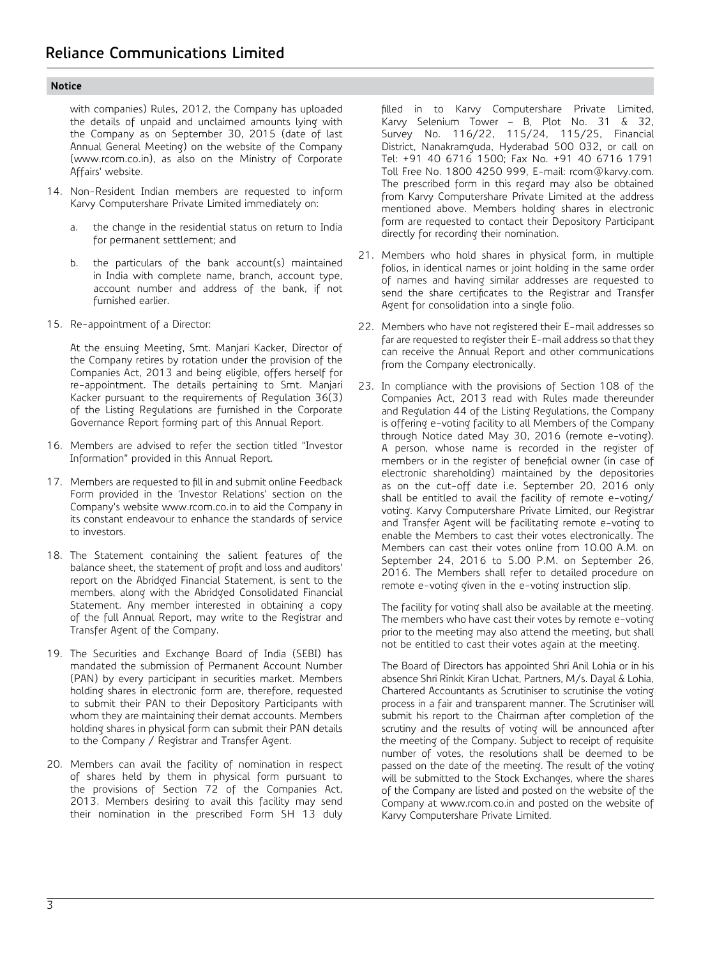#### **Notice**

with companies) Rules, 2012, the Company has uploaded the details of unpaid and unclaimed amounts lying with the Company as on September 30, 2015 (date of last Annual General Meeting) on the website of the Company (www.rcom.co.in), as also on the Ministry of Corporate Affairs' website.

- 14. Non-Resident Indian members are requested to inform Karvy Computershare Private Limited immediately on:
	- a. the change in the residential status on return to India for permanent settlement; and
	- b. the particulars of the bank account(s) maintained in India with complete name, branch, account type, account number and address of the bank, if not furnished earlier.
- 15. Re-appointment of a Director:

At the ensuing Meeting, Smt. Manjari Kacker, Director of the Company retires by rotation under the provision of the Companies Act, 2013 and being eligible, offers herself for re-appointment. The details pertaining to Smt. Manjari Kacker pursuant to the requirements of Regulation 36(3) of the Listing Regulations are furnished in the Corporate Governance Report forming part of this Annual Report.

- 16. Members are advised to refer the section titled "Investor Information" provided in this Annual Report.
- 17. Members are requested to fill in and submit online Feedback Form provided in the 'Investor Relations' section on the Company's website www.rcom.co.in to aid the Company in its constant endeavour to enhance the standards of service to investors.
- 18. The Statement containing the salient features of the balance sheet, the statement of profit and loss and auditors' report on the Abridged Financial Statement, is sent to the members, along with the Abridged Consolidated Financial Statement. Any member interested in obtaining a copy of the full Annual Report, may write to the Registrar and Transfer Agent of the Company.
- 19. The Securities and Exchange Board of India (SEBI) has mandated the submission of Permanent Account Number (PAN) by every participant in securities market. Members holding shares in electronic form are, therefore, requested to submit their PAN to their Depository Participants with whom they are maintaining their demat accounts. Members holding shares in physical form can submit their PAN details to the Company / Registrar and Transfer Agent.
- 20. Members can avail the facility of nomination in respect of shares held by them in physical form pursuant to the provisions of Section 72 of the Companies Act, 2013. Members desiring to avail this facility may send their nomination in the prescribed Form SH 13 duly

filled in to Karvy Computershare Private Limited, Karvy Selenium Tower – B, Plot No. 31 & 32, Survey No. 116/22, 115/24, 115/25, Financial District, Nanakramguda, Hyderabad 500 032, or call on Tel: +91 40 6716 1500; Fax No. +91 40 6716 1791 Toll Free No. 1800 4250 999, E-mail: rcom@karvy.com. The prescribed form in this regard may also be obtained from Karvy Computershare Private Limited at the address mentioned above. Members holding shares in electronic form are requested to contact their Depository Participant directly for recording their nomination.

- 21. Members who hold shares in physical form, in multiple folios, in identical names or joint holding in the same order of names and having similar addresses are requested to send the share certificates to the Registrar and Transfer Agent for consolidation into a single folio.
- 22. Members who have not registered their E-mail addresses so far are requested to register their E-mail address so that they can receive the Annual Report and other communications from the Company electronically.
- 23. In compliance with the provisions of Section 108 of the Companies Act, 2013 read with Rules made thereunder and Regulation 44 of the Listing Regulations, the Company is offering e-voting facility to all Members of the Company through Notice dated May 30, 2016 (remote e-voting). A person, whose name is recorded in the register of members or in the register of beneficial owner (in case of electronic shareholding) maintained by the depositories as on the cut-off date i.e. September 20, 2016 only shall be entitled to avail the facility of remote e-voting/ voting. Karvy Computershare Private Limited, our Registrar and Transfer Agent will be facilitating remote e-voting to enable the Members to cast their votes electronically. The Members can cast their votes online from 10.00 A.M. on September 24, 2016 to 5.00 P.M. on September 26, 2016. The Members shall refer to detailed procedure on remote e-voting given in the e-voting instruction slip.

The facility for voting shall also be available at the meeting. The members who have cast their votes by remote e-voting prior to the meeting may also attend the meeting, but shall not be entitled to cast their votes again at the meeting.

The Board of Directors has appointed Shri Anil Lohia or in his absence Shri Rinkit Kiran Uchat, Partners, M/s. Dayal & Lohia, Chartered Accountants as Scrutiniser to scrutinise the voting process in a fair and transparent manner. The Scrutiniser will submit his report to the Chairman after completion of the scrutiny and the results of voting will be announced after the meeting of the Company. Subject to receipt of requisite number of votes, the resolutions shall be deemed to be passed on the date of the meeting. The result of the voting will be submitted to the Stock Exchanges, where the shares of the Company are listed and posted on the website of the Company at www.rcom.co.in and posted on the website of Karvy Computershare Private Limited.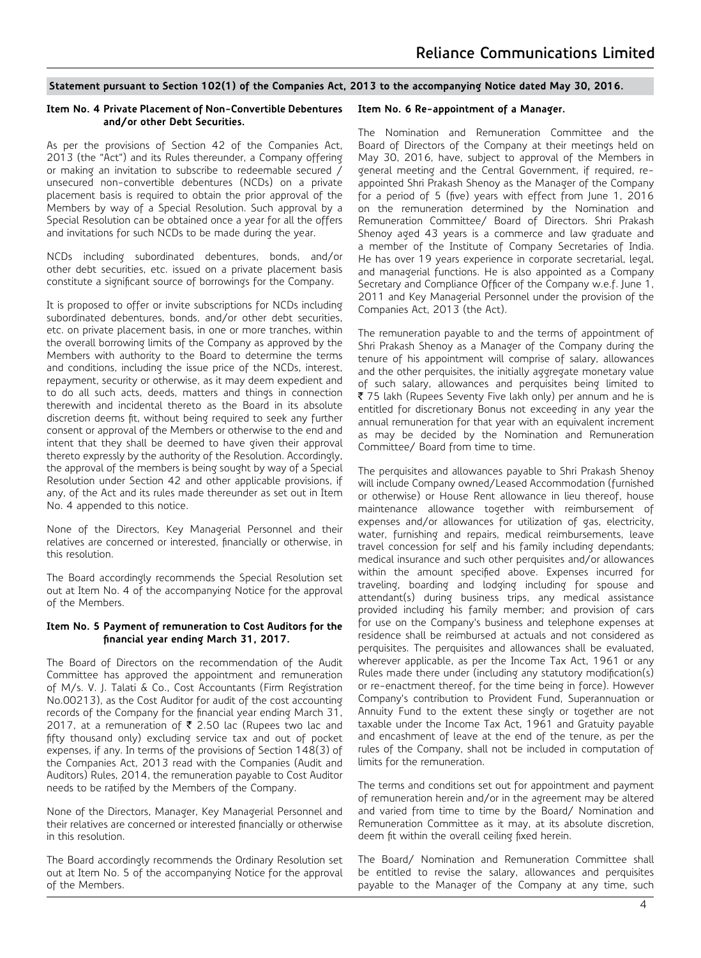### **Statement pursuant to Section 102(1) of the Companies Act, 2013 to the accompanying Notice dated May 30, 2016.**

#### **Item No. 4 Private Placement of Non-Convertible Debentures and/or other Debt Securities.**

As per the provisions of Section 42 of the Companies Act, 2013 (the "Act") and its Rules thereunder, a Company offering or making an invitation to subscribe to redeemable secured / unsecured non-convertible debentures (NCDs) on a private placement basis is required to obtain the prior approval of the Members by way of a Special Resolution. Such approval by a Special Resolution can be obtained once a year for all the offers and invitations for such NCDs to be made during the year.

NCDs including subordinated debentures, bonds, and/or other debt securities, etc. issued on a private placement basis constitute a significant source of borrowings for the Company.

It is proposed to offer or invite subscriptions for NCDs including subordinated debentures, bonds, and/or other debt securities, etc. on private placement basis, in one or more tranches, within the overall borrowing limits of the Company as approved by the Members with authority to the Board to determine the terms and conditions, including the issue price of the NCDs, interest, repayment, security or otherwise, as it may deem expedient and to do all such acts, deeds, matters and things in connection therewith and incidental thereto as the Board in its absolute discretion deems fit, without being required to seek any further consent or approval of the Members or otherwise to the end and intent that they shall be deemed to have given their approval thereto expressly by the authority of the Resolution. Accordingly, the approval of the members is being sought by way of a Special Resolution under Section 42 and other applicable provisions, if any, of the Act and its rules made thereunder as set out in Item No. 4 appended to this notice.

None of the Directors, Key Managerial Personnel and their relatives are concerned or interested, financially or otherwise, in this resolution.

The Board accordingly recommends the Special Resolution set out at Item No. 4 of the accompanying Notice for the approval of the Members.

#### **Item No. 5 Payment of remuneration to Cost Auditors for the financial year ending March 31, 2017.**

The Board of Directors on the recommendation of the Audit Committee has approved the appointment and remuneration of M/s. V. J. Talati & Co., Cost Accountants (Firm Registration No.00213), as the Cost Auditor for audit of the cost accounting records of the Company for the financial year ending March 31, 2017, at a remuneration of  $\bar{\tau}$  2.50 lac (Rupees two lac and fifty thousand only) excluding service tax and out of pocket expenses, if any. In terms of the provisions of Section 148(3) of the Companies Act, 2013 read with the Companies (Audit and Auditors) Rules, 2014, the remuneration payable to Cost Auditor needs to be ratified by the Members of the Company.

None of the Directors, Manager, Key Managerial Personnel and their relatives are concerned or interested financially or otherwise in this resolution.

The Board accordingly recommends the Ordinary Resolution set out at Item No. 5 of the accompanying Notice for the approval of the Members.

#### **Item No. 6 Re-appointment of a Manager.**

The Nomination and Remuneration Committee and the Board of Directors of the Company at their meetings held on May 30, 2016, have, subject to approval of the Members in general meeting and the Central Government, if required, reappointed Shri Prakash Shenoy as the Manager of the Company for a period of 5 (five) years with effect from June 1, 2016 on the remuneration determined by the Nomination and Remuneration Committee/ Board of Directors. Shri Prakash Shenoy aged 43 years is a commerce and law graduate and a member of the Institute of Company Secretaries of India. He has over 19 years experience in corporate secretarial, legal, and managerial functions. He is also appointed as a Company Secretary and Compliance Officer of the Company w.e.f. June 1, 2011 and Key Managerial Personnel under the provision of the Companies Act, 2013 (the Act).

The remuneration payable to and the terms of appointment of Shri Prakash Shenoy as a Manager of the Company during the tenure of his appointment will comprise of salary, allowances and the other perquisites, the initially aggregate monetary value of such salary, allowances and perquisites being limited to  $\bar{\tau}$  75 lakh (Rupees Seventy Five lakh only) per annum and he is entitled for discretionary Bonus not exceeding in any year the annual remuneration for that year with an equivalent increment as may be decided by the Nomination and Remuneration Committee/ Board from time to time.

The perquisites and allowances payable to Shri Prakash Shenoy will include Company owned/Leased Accommodation (furnished or otherwise) or House Rent allowance in lieu thereof, house maintenance allowance together with reimbursement of expenses and/or allowances for utilization of gas, electricity, water, furnishing and repairs, medical reimbursements, leave travel concession for self and his family including dependants; medical insurance and such other perquisites and/or allowances within the amount specified above. Expenses incurred for traveling, boarding and lodging including for spouse and attendant(s) during business trips, any medical assistance provided including his family member; and provision of cars for use on the Company's business and telephone expenses at residence shall be reimbursed at actuals and not considered as perquisites. The perquisites and allowances shall be evaluated, wherever applicable, as per the Income Tax Act, 1961 or any Rules made there under (including any statutory modification(s) or re-enactment thereof, for the time being in force). However Company's contribution to Provident Fund, Superannuation or Annuity Fund to the extent these singly or together are not taxable under the Income Tax Act, 1961 and Gratuity payable and encashment of leave at the end of the tenure, as per the rules of the Company, shall not be included in computation of limits for the remuneration.

The terms and conditions set out for appointment and payment of remuneration herein and/or in the agreement may be altered and varied from time to time by the Board/ Nomination and Remuneration Committee as it may, at its absolute discretion, deem fit within the overall ceiling fixed herein.

The Board/ Nomination and Remuneration Committee shall be entitled to revise the salary, allowances and perquisites payable to the Manager of the Company at any time, such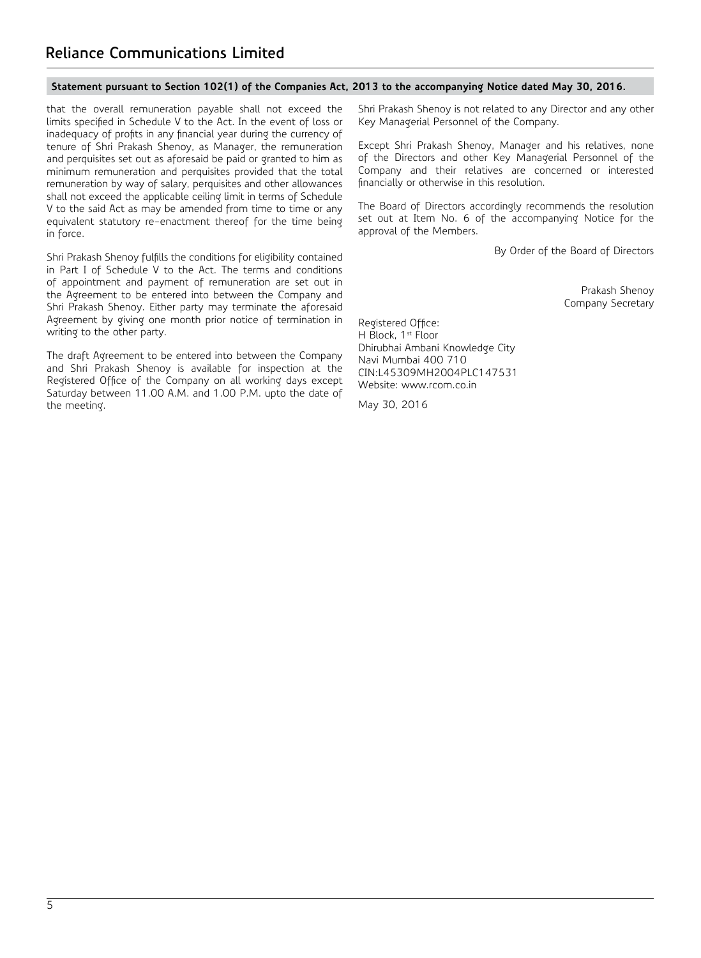# **Statement pursuant to Section 102(1) of the Companies Act, 2013 to the accompanying Notice dated May 30, 2016.**

that the overall remuneration payable shall not exceed the limits specified in Schedule V to the Act. In the event of loss or inadequacy of profits in any financial year during the currency of tenure of Shri Prakash Shenoy, as Manager, the remuneration and perquisites set out as aforesaid be paid or granted to him as minimum remuneration and perquisites provided that the total remuneration by way of salary, perquisites and other allowances shall not exceed the applicable ceiling limit in terms of Schedule V to the said Act as may be amended from time to time or any equivalent statutory re-enactment thereof for the time being in force.

Shri Prakash Shenoy fulfills the conditions for eligibility contained in Part I of Schedule V to the Act. The terms and conditions of appointment and payment of remuneration are set out in the Agreement to be entered into between the Company and Shri Prakash Shenoy. Either party may terminate the aforesaid Agreement by giving one month prior notice of termination in writing to the other party.

The draft Agreement to be entered into between the Company and Shri Prakash Shenoy is available for inspection at the Registered Office of the Company on all working days except Saturday between 11.00 A.M. and 1.00 P.M. upto the date of the meeting.

Shri Prakash Shenoy is not related to any Director and any other Key Managerial Personnel of the Company.

Except Shri Prakash Shenoy, Manager and his relatives, none of the Directors and other Key Managerial Personnel of the Company and their relatives are concerned or interested financially or otherwise in this resolution.

The Board of Directors accordingly recommends the resolution set out at Item No. 6 of the accompanying Notice for the approval of the Members.

By Order of the Board of Directors

Prakash Shenoy Company Secretary

Registered Office: H Block, 1st Floor Dhirubhai Ambani Knowledge City Navi Mumbai 400 710 CIN:L45309MH2004PLC147531 Website: www.rcom.co.in

May 30, 2016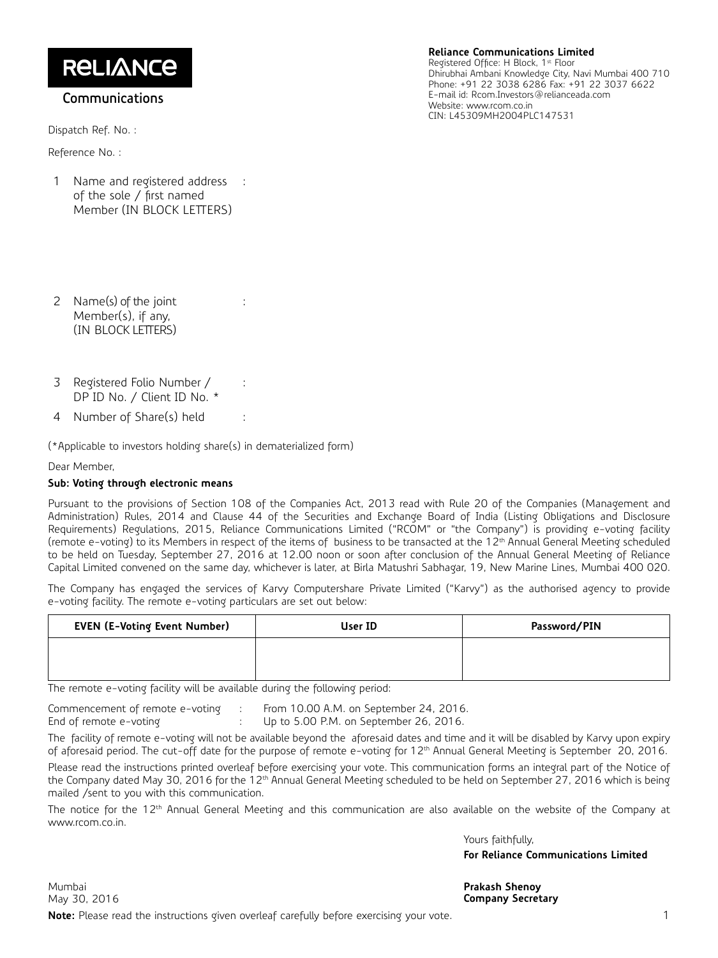**RELIANCE** 

# **Communications**

Dispatch Ref. No. :

Reference No. :

1 Name and registered address of the sole / first named Member (IN BLOCK LETTERS) :

#### **Reliance Communications Limited**

Registered Office: H Block, 1st Floor Dhirubhai Ambani Knowledge City, Navi Mumbai 400 710 Phone: +91 22 3038 6286 Fax: +91 22 3037 6622 E-mail id: Rcom.Investors@relianceada.com Website: www.rcom.co.in CIN: L45309MH2004PLC147531

- 2 Name(s) of the joint Member(s), if any, (IN BLOCK LETTERS)
- 3 Registered Folio Number / DP ID No. / Client ID No. \*
- 4 Number of Share(s) held :

(\*Applicable to investors holding share(s) in dematerialized form)

:

:

Dear Member,

# **Sub: Voting through electronic means**

Pursuant to the provisions of Section 108 of the Companies Act, 2013 read with Rule 20 of the Companies (Management and Administration) Rules, 2014 and Clause 44 of the Securities and Exchange Board of India (Listing Obligations and Disclosure Requirements) Regulations, 2015, Reliance Communications Limited ("RCOM" or "the Company") is providing e-voting facility (remote e-voting) to its Members in respect of the items of business to be transacted at the 12<sup>th</sup> Annual General Meeting scheduled to be held on Tuesday, September 27, 2016 at 12.00 noon or soon after conclusion of the Annual General Meeting of Reliance Capital Limited convened on the same day, whichever is later, at Birla Matushri Sabhagar, 19, New Marine Lines, Mumbai 400 020.

The Company has engaged the services of Karvy Computershare Private Limited ("Karvy") as the authorised agency to provide e-voting facility. The remote e-voting particulars are set out below:

| <b>EVEN (E-Voting Event Number)</b> | User ID | Password/PIN |
|-------------------------------------|---------|--------------|
|                                     |         |              |
|                                     |         |              |

The remote e-voting facility will be available during the following period:

Commencement of remote e-voting : From 10.00 A.M. on September 24, 2016. End of remote e-voting : Up to 5.00 P.M. on September 26, 2016.

The facility of remote e-voting will not be available beyond the aforesaid dates and time and it will be disabled by Karvy upon expiry of aforesaid period. The cut-off date for the purpose of remote e-voting for 12<sup>th</sup> Annual General Meeting is September 20, 2016.

Please read the instructions printed overleaf before exercising your vote. This communication forms an integral part of the Notice of the Company dated May 30, 2016 for the 12<sup>th</sup> Annual General Meeting scheduled to be held on September 27, 2016 which is being mailed /sent to you with this communication.

The notice for the 12<sup>th</sup> Annual General Meeting and this communication are also available on the website of the Company at www.rcom.co.in.

Yours faithfully,

**For Reliance Communications Limited**

Mumbai **Prakash Shenoy Note:** Please read the instructions given overleaf carefully before exercising your vote.

**Company Secretary**